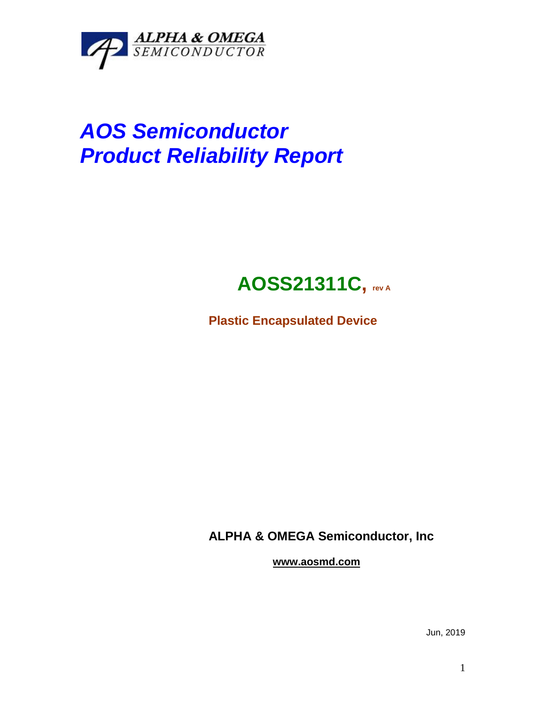

# *AOS Semiconductor Product Reliability Report*

## **AOSS21311C, rev <sup>A</sup>**

**Plastic Encapsulated Device**

**ALPHA & OMEGA Semiconductor, Inc**

**www.aosmd.com**

Jun, 2019